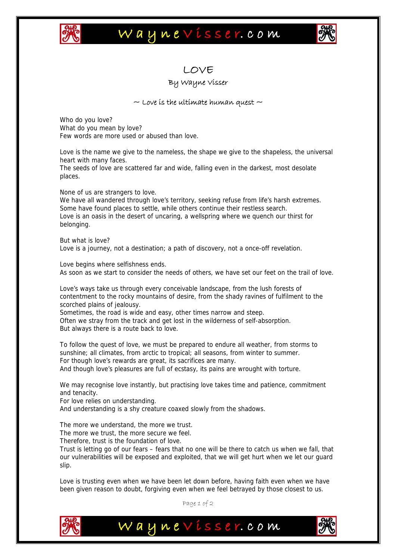

## Waynevisser.com



## LOVE

## By Wayne Visser

## $\sim$  Love is the ultimate human quest  $\sim$

Who do you love? What do you mean by love? Few words are more used or abused than love.

Love is the name we give to the nameless, the shape we give to the shapeless, the universal heart with many faces.

The seeds of love are scattered far and wide, falling even in the darkest, most desolate places.

None of us are strangers to love.

We have all wandered through love's territory, seeking refuse from life's harsh extremes. Some have found places to settle, while others continue their restless search. Love is an oasis in the desert of uncaring, a wellspring where we quench our thirst for belonging.

But what is love? Love is a journey, not a destination; a path of discovery, not a once-off revelation.

Love begins where selfishness ends. As soon as we start to consider the needs of others, we have set our feet on the trail of love.

Love's ways take us through every conceivable landscape, from the lush forests of contentment to the rocky mountains of desire, from the shady ravines of fulfilment to the scorched plains of jealousy.

Sometimes, the road is wide and easy, other times narrow and steep. Often we stray from the track and get lost in the wilderness of self-absorption.

But always there is a route back to love.

To follow the quest of love, we must be prepared to endure all weather, from storms to sunshine; all climates, from arctic to tropical; all seasons, from winter to summer. For though love's rewards are great, its sacrifices are many. And though love's pleasures are full of ecstasy, its pains are wrought with torture.

We may recognise love instantly, but practising love takes time and patience, commitment and tenacity.

For love relies on understanding.

And understanding is a shy creature coaxed slowly from the shadows.

The more we understand, the more we trust.

The more we trust, the more secure we feel.

Therefore, trust is the foundation of love.

Trust is letting go of our fears – fears that no one will be there to catch us when we fall, that our vulnerabilities will be exposed and exploited, that we will get hurt when we let our guard slip.

Love is trusting even when we have been let down before, having faith even when we have been given reason to doubt, forgiving even when we feel betrayed by those closest to us.

Page 1 of 2

Waynevisser.com